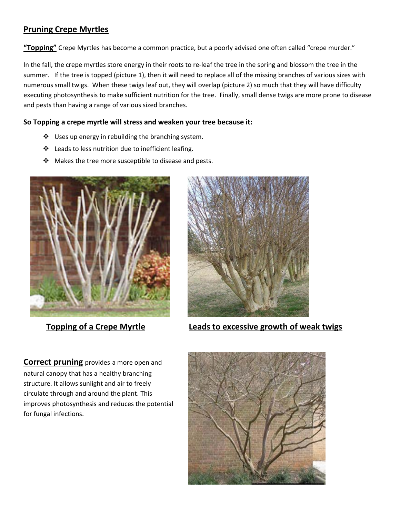## **Pruning Crepe Myrtles**

**"Topping"** Crepe Myrtles has become a common practice, but a poorly advised one often called "crepe murder."

In the fall, the crepe myrtles store energy in their roots to re‐leaf the tree in the spring and blossom the tree in the summer. If the tree is topped (picture 1), then it will need to replace all of the missing branches of various sizes with numerous small twigs. When these twigs leaf out, they will overlap (picture 2) so much that they will have difficulty executing photosynthesis to make sufficient nutrition for the tree. Finally, small dense twigs are more prone to disease and pests than having a range of various sized branches.

## **So Topping a crepe myrtle will stress and weaken your tree because it:**

- $\cdot \cdot$  Uses up energy in rebuilding the branching system.
- ❖ Leads to less nutrition due to inefficient leafing.
- $\mathbf{\hat{P}}$  Makes the tree more susceptible to disease and pests.





**Topping of a Crepe Myrtle Leads to excessive growth of weak twigs**

**Correct pruning** provides a more open and natural canopy that has a healthy branching structure. It allows sunlight and air to freely circulate through and around the plant. This improves photosynthesis and reduces the potential for fungal infections.